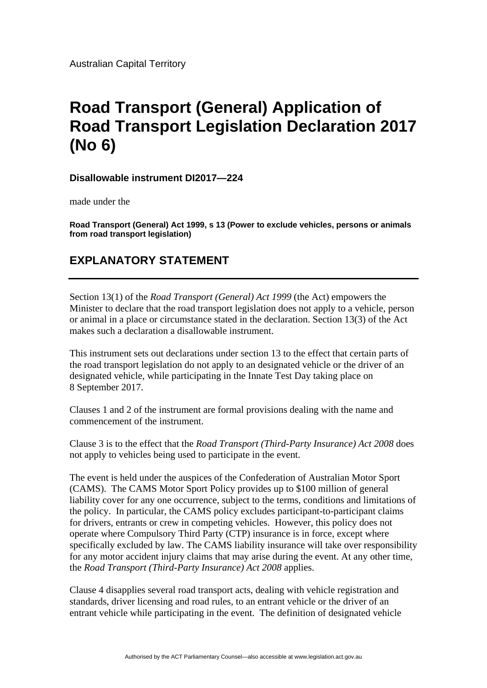Australian Capital Territory

## **Road Transport (General) Application of Road Transport Legislation Declaration 2017 (No 6)**

**Disallowable instrument DI2017—224** 

made under the

**Road Transport (General) Act 1999, s 13 (Power to exclude vehicles, persons or animals from road transport legislation)** 

## **EXPLANATORY STATEMENT**

Section 13(1) of the *Road Transport (General) Act 1999* (the Act) empowers the Minister to declare that the road transport legislation does not apply to a vehicle, person or animal in a place or circumstance stated in the declaration. Section 13(3) of the Act makes such a declaration a disallowable instrument.

This instrument sets out declarations under section 13 to the effect that certain parts of the road transport legislation do not apply to an designated vehicle or the driver of an designated vehicle, while participating in the Innate Test Day taking place on 8 September 2017.

Clauses 1 and 2 of the instrument are formal provisions dealing with the name and commencement of the instrument.

Clause 3 is to the effect that the *Road Transport (Third-Party Insurance) Act 2008* does not apply to vehicles being used to participate in the event.

The event is held under the auspices of the Confederation of Australian Motor Sport (CAMS). The CAMS Motor Sport Policy provides up to \$100 million of general liability cover for any one occurrence, subject to the terms, conditions and limitations of the policy. In particular, the CAMS policy excludes participant-to-participant claims for drivers, entrants or crew in competing vehicles. However, this policy does not operate where Compulsory Third Party (CTP) insurance is in force, except where specifically excluded by law. The CAMS liability insurance will take over responsibility for any motor accident injury claims that may arise during the event. At any other time, the *Road Transport (Third-Party Insurance) Act 2008* applies.

Clause 4 disapplies several road transport acts, dealing with vehicle registration and standards, driver licensing and road rules, to an entrant vehicle or the driver of an entrant vehicle while participating in the event. The definition of designated vehicle